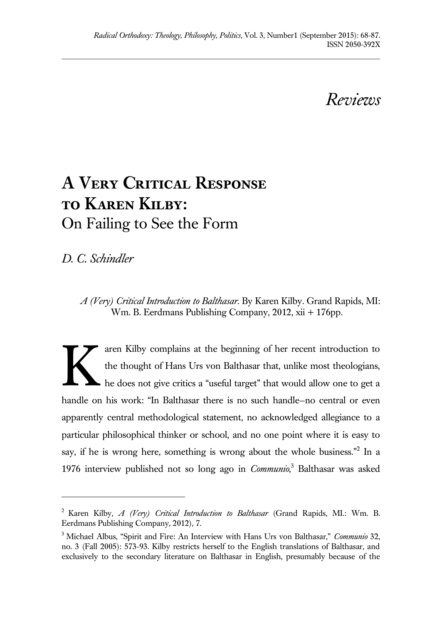*Reviews*

## **A Very Critical Response to Karen Kilby:**  On Failing to See the Form

*D. C. Schindler*

 $\overline{a}$ 

*A (Very) Critical Introduction to Balthasar*. By Karen Kilby. Grand Rapids, MI: Wm. B. Eerdmans Publishing Company, 2012, xii + 176pp.

aren Kilby complains at the beginning of her recent introduction to the thought of Hans Urs von Balthasar that, unlike most theologians, he does not give critics a "useful target" that would allow one to get a handle on his work: "In Balthasar there is no such handle—no central or even apparently central methodological statement, no acknowledged allegiance to a particular philosophical thinker or school, and no one point where it is easy to say, if he is wrong here, something is wrong about the whole business."<sup>2</sup> In a 1976 interview published not so long ago in *Communio*, <sup>3</sup> Balthasar was asked K

<sup>2</sup>Karen Kilby, *A (Very) Critical Introduction to Balthasar* (Grand Rapids, MI.: Wm. B. Eerdmans Publishing Company, 2012), 7.

<sup>3</sup>Michael Albus, "Spirit and Fire: An Interview with Hans Urs von Balthasar," *Communio* 32, no. 3 (Fall 2005): 573-93. Kilby restricts herself to the English translations of Balthasar, and exclusively to the secondary literature on Balthasar in English, presumably because of the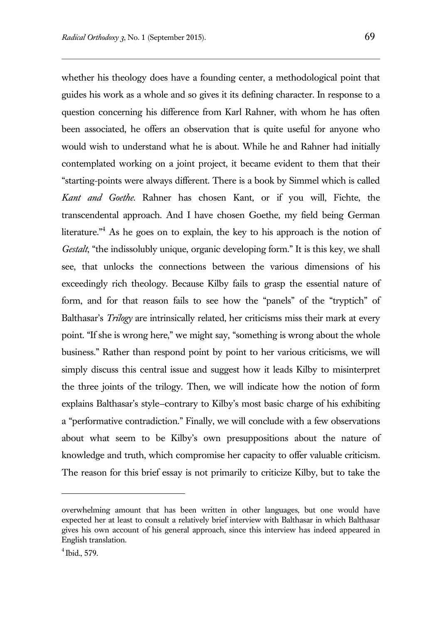whether his theology does have a founding center, a methodological point that guides his work as a whole and so gives it its defining character. In response to a question concerning his difference from Karl Rahner, with whom he has often been associated, he offers an observation that is quite useful for anyone who would wish to understand what he is about. While he and Rahner had initially contemplated working on a joint project, it became evident to them that their "starting-points were always different. There is a book by Simmel which is called *Kant and Goethe*. Rahner has chosen Kant, or if you will, Fichte, the transcendental approach. And I have chosen Goethe, my field being German literature."<sup>4</sup> As he goes on to explain, the key to his approach is the notion of *Gestalt*, "the indissolubly unique, organic developing form." It is this key, we shall see, that unlocks the connections between the various dimensions of his exceedingly rich theology. Because Kilby fails to grasp the essential nature of form, and for that reason fails to see how the "panels" of the "tryptich" of Balthasar's *Trilogy* are intrinsically related, her criticisms miss their mark at every point. "If she is wrong here," we might say, "something is wrong about the whole business." Rather than respond point by point to her various criticisms, we will simply discuss this central issue and suggest how it leads Kilby to misinterpret the three joints of the trilogy. Then, we will indicate how the notion of form explains Balthasar's style—contrary to Kilby's most basic charge of his exhibiting a "performative contradiction." Finally, we will conclude with a few observations about what seem to be Kilby's own presuppositions about the nature of knowledge and truth, which compromise her capacity to offer valuable criticism. The reason for this brief essay is not primarily to criticize Kilby, but to take the

l

overwhelming amount that has been written in other languages, but one would have expected her at least to consult a relatively brief interview with Balthasar in which Balthasar gives his own account of his general approach, since this interview has indeed appeared in English translation.

 $4$  Ibid., 579.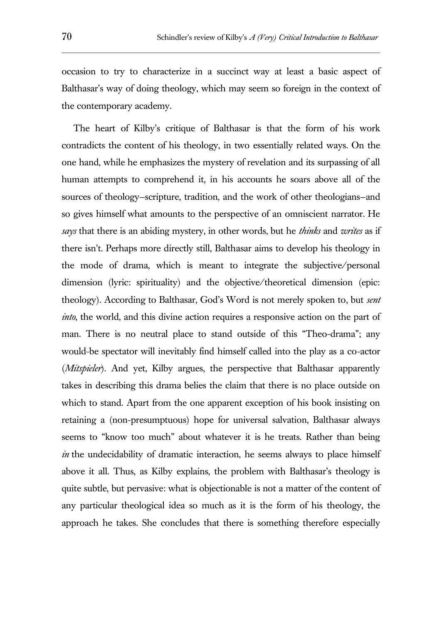occasion to try to characterize in a succinct way at least a basic aspect of Balthasar's way of doing theology, which may seem so foreign in the context of the contemporary academy.

The heart of Kilby's critique of Balthasar is that the form of his work contradicts the content of his theology, in two essentially related ways. On the one hand, while he emphasizes the mystery of revelation and its surpassing of all human attempts to comprehend it, in his accounts he soars above all of the sources of theology—scripture, tradition, and the work of other theologians—and so gives himself what amounts to the perspective of an omniscient narrator. He *says* that there is an abiding mystery, in other words, but he *thinks* and *writes* as if there isn't. Perhaps more directly still, Balthasar aims to develop his theology in the mode of drama, which is meant to integrate the subjective/personal dimension (lyric: spirituality) and the objective/theoretical dimension (epic: theology). According to Balthasar, God's Word is not merely spoken to, but *sent into*, the world, and this divine action requires a responsive action on the part of man. There is no neutral place to stand outside of this "Theo-drama"; any would-be spectator will inevitably find himself called into the play as a co-actor (*Mitspieler*). And yet, Kilby argues, the perspective that Balthasar apparently takes in describing this drama belies the claim that there is no place outside on which to stand. Apart from the one apparent exception of his book insisting on retaining a (non-presumptuous) hope for universal salvation, Balthasar always seems to "know too much" about whatever it is he treats. Rather than being *in* the undecidability of dramatic interaction, he seems always to place himself above it all. Thus, as Kilby explains, the problem with Balthasar's theology is quite subtle, but pervasive: what is objectionable is not a matter of the content of any particular theological idea so much as it is the form of his theology, the approach he takes. She concludes that there is something therefore especially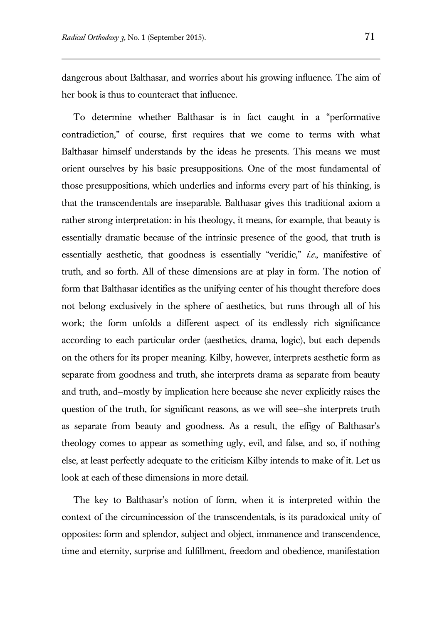dangerous about Balthasar, and worries about his growing influence. The aim of her book is thus to counteract that influence.

To determine whether Balthasar is in fact caught in a "performative contradiction," of course, first requires that we come to terms with what Balthasar himself understands by the ideas he presents. This means we must orient ourselves by his basic presuppositions. One of the most fundamental of those presuppositions, which underlies and informs every part of his thinking, is that the transcendentals are inseparable. Balthasar gives this traditional axiom a rather strong interpretation: in his theology, it means, for example, that beauty is essentially dramatic because of the intrinsic presence of the good, that truth is essentially aesthetic, that goodness is essentially "veridic," *i.e.*, manifestive of truth, and so forth. All of these dimensions are at play in form. The notion of form that Balthasar identifies as the unifying center of his thought therefore does not belong exclusively in the sphere of aesthetics, but runs through all of his work; the form unfolds a different aspect of its endlessly rich significance according to each particular order (aesthetics, drama, logic), but each depends on the others for its proper meaning. Kilby, however, interprets aesthetic form as separate from goodness and truth, she interprets drama as separate from beauty and truth, and—mostly by implication here because she never explicitly raises the question of the truth, for significant reasons, as we will see—she interprets truth as separate from beauty and goodness. As a result, the effigy of Balthasar's theology comes to appear as something ugly, evil, and false, and so, if nothing else, at least perfectly adequate to the criticism Kilby intends to make of it. Let us look at each of these dimensions in more detail.

The key to Balthasar's notion of form, when it is interpreted within the context of the circumincession of the transcendentals, is its paradoxical unity of opposites: form and splendor, subject and object, immanence and transcendence, time and eternity, surprise and fulfillment, freedom and obedience, manifestation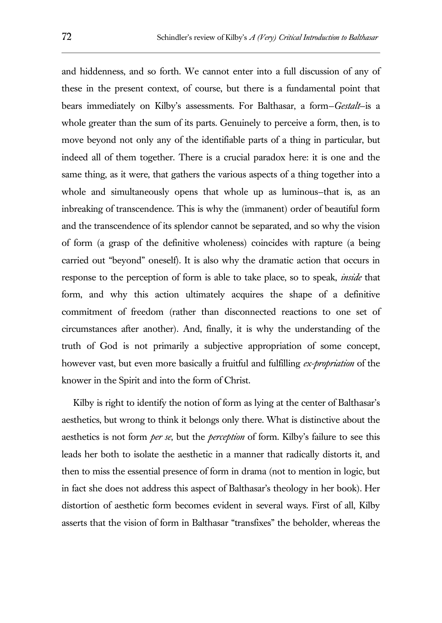and hiddenness, and so forth. We cannot enter into a full discussion of any of these in the present context, of course, but there is a fundamental point that bears immediately on Kilby's assessments. For Balthasar, a form—*Gestalt*—is a whole greater than the sum of its parts. Genuinely to perceive a form, then, is to move beyond not only any of the identifiable parts of a thing in particular, but indeed all of them together. There is a crucial paradox here: it is one and the same thing, as it were, that gathers the various aspects of a thing together into a whole and simultaneously opens that whole up as luminous—that is, as an inbreaking of transcendence. This is why the (immanent) order of beautiful form and the transcendence of its splendor cannot be separated, and so why the vision of form (a grasp of the definitive wholeness) coincides with rapture (a being carried out "beyond" oneself). It is also why the dramatic action that occurs in response to the perception of form is able to take place, so to speak, *inside* that form, and why this action ultimately acquires the shape of a definitive commitment of freedom (rather than disconnected reactions to one set of circumstances after another). And, finally, it is why the understanding of the truth of God is not primarily a subjective appropriation of some concept, however vast, but even more basically a fruitful and fulfilling *ex-propriation* of the knower in the Spirit and into the form of Christ.

Kilby is right to identify the notion of form as lying at the center of Balthasar's aesthetics, but wrong to think it belongs only there. What is distinctive about the aesthetics is not form *per se*, but the *perception* of form. Kilby's failure to see this leads her both to isolate the aesthetic in a manner that radically distorts it, and then to miss the essential presence of form in drama (not to mention in logic, but in fact she does not address this aspect of Balthasar's theology in her book). Her distortion of aesthetic form becomes evident in several ways. First of all, Kilby asserts that the vision of form in Balthasar "transfixes" the beholder, whereas the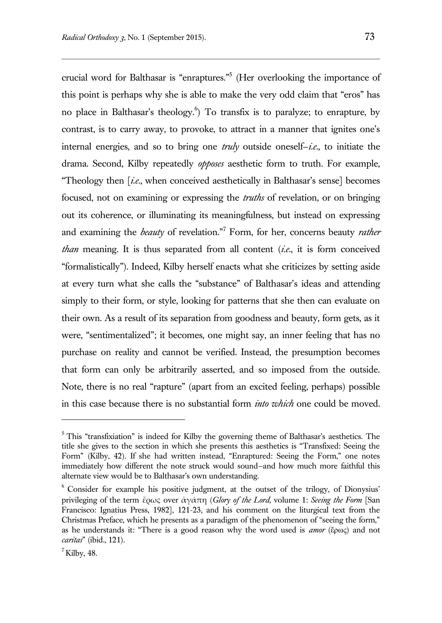crucial word for Balthasar is "enraptures."<sup>5</sup> (Her overlooking the importance of this point is perhaps why she is able to make the very odd claim that "eros" has no place in Balthasar's theology.<sup>6</sup>) To transfix is to paralyze; to enrapture, by contrast, is to carry away, to provoke, to attract in a manner that ignites one's internal energies, and so to bring one *truly* outside oneself—*i.e.*, to initiate the drama. Second, Kilby repeatedly *opposes* aesthetic form to truth. For example, "Theology then [*i.e.*, when conceived aesthetically in Balthasar's sense] becomes focused, not on examining or expressing the *truths* of revelation, or on bringing out its coherence, or illuminating its meaningfulness, but instead on expressing and examining the *beauty* of revelation."<sup>7</sup> Form, for her, concerns beauty *rather than* meaning. It is thus separated from all content (*i.e.*, it is form conceived "formalistically"). Indeed, Kilby herself enacts what she criticizes by setting aside at every turn what she calls the "substance" of Balthasar's ideas and attending simply to their form, or style, looking for patterns that she then can evaluate on their own. As a result of its separation from goodness and beauty, form gets, as it were, "sentimentalized"; it becomes, one might say, an inner feeling that has no purchase on reality and cannot be verified. Instead, the presumption becomes that form can only be arbitrarily asserted, and so imposed from the outside. Note, there is no real "rapture" (apart from an excited feeling, perhaps) possible in this case because there is no substantial form *into which* one could be moved.

 $5$  This "transfixiation" is indeed for Kilby the governing theme of Balthasar's aesthetics. The title she gives to the section in which she presents this aesthetics is "Transfixed: Seeing the Form" (Kilby, 42). If she had written instead, "Enraptured: Seeing the Form," one notes immediately how different the note struck would sound—and how much more faithful this alternate view would be to Balthasar's own understanding.

 $6\degree$  Consider for example his positive judgment, at the outset of the trilogy, of Dionysius' privileging of the term ἔρως over ἀγάπη (*Glory of the Lord*, volume 1: *Seeing the Form* [San Francisco: Ignatius Press, 1982], 121-23, and his comment on the liturgical text from the Christmas Preface, which he presents as a paradigm of the phenomenon of "seeing the form," as he understands it: "There is a good reason why the word used is *amor* (ἔρως) and not *caritas*" (ibid., 121).

 $^7$ Kilby, 48.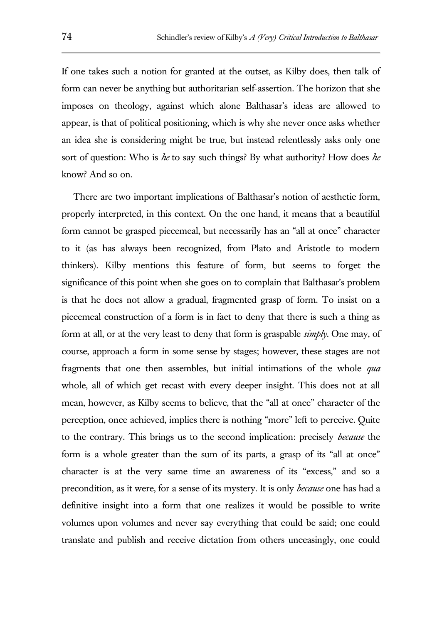If one takes such a notion for granted at the outset, as Kilby does, then talk of form can never be anything but authoritarian self-assertion. The horizon that she imposes on theology, against which alone Balthasar's ideas are allowed to appear, is that of political positioning, which is why she never once asks whether an idea she is considering might be true, but instead relentlessly asks only one sort of question: Who is *he* to say such things? By what authority? How does *he*  know? And so on.

There are two important implications of Balthasar's notion of aesthetic form, properly interpreted, in this context. On the one hand, it means that a beautiful form cannot be grasped piecemeal, but necessarily has an "all at once" character to it (as has always been recognized, from Plato and Aristotle to modern thinkers). Kilby mentions this feature of form, but seems to forget the significance of this point when she goes on to complain that Balthasar's problem is that he does not allow a gradual, fragmented grasp of form. To insist on a piecemeal construction of a form is in fact to deny that there is such a thing as form at all, or at the very least to deny that form is graspable *simply*. One may, of course, approach a form in some sense by stages; however, these stages are not fragments that one then assembles, but initial intimations of the whole *qua*  whole, all of which get recast with every deeper insight. This does not at all mean, however, as Kilby seems to believe, that the "all at once" character of the perception, once achieved, implies there is nothing "more" left to perceive. Quite to the contrary. This brings us to the second implication: precisely *because* the form is a whole greater than the sum of its parts, a grasp of its "all at once" character is at the very same time an awareness of its "excess," and so a precondition, as it were, for a sense of its mystery. It is only *because* one has had a definitive insight into a form that one realizes it would be possible to write volumes upon volumes and never say everything that could be said; one could translate and publish and receive dictation from others unceasingly, one could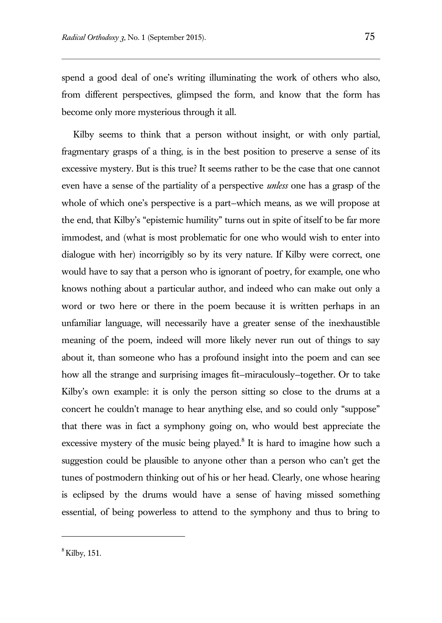spend a good deal of one's writing illuminating the work of others who also, from different perspectives, glimpsed the form, and know that the form has become only more mysterious through it all.

Kilby seems to think that a person without insight, or with only partial, fragmentary grasps of a thing, is in the best position to preserve a sense of its excessive mystery. But is this true? It seems rather to be the case that one cannot even have a sense of the partiality of a perspective *unless* one has a grasp of the whole of which one's perspective is a part—which means, as we will propose at the end, that Kilby's "epistemic humility" turns out in spite of itself to be far more immodest, and (what is most problematic for one who would wish to enter into dialogue with her) incorrigibly so by its very nature. If Kilby were correct, one would have to say that a person who is ignorant of poetry, for example, one who knows nothing about a particular author, and indeed who can make out only a word or two here or there in the poem because it is written perhaps in an unfamiliar language, will necessarily have a greater sense of the inexhaustible meaning of the poem, indeed will more likely never run out of things to say about it, than someone who has a profound insight into the poem and can see how all the strange and surprising images fit—miraculously—together. Or to take Kilby's own example: it is only the person sitting so close to the drums at a concert he couldn't manage to hear anything else, and so could only "suppose" that there was in fact a symphony going on, who would best appreciate the excessive mystery of the music being played. $8$  It is hard to imagine how such a suggestion could be plausible to anyone other than a person who can't get the tunes of postmodern thinking out of his or her head. Clearly, one whose hearing is eclipsed by the drums would have a sense of having missed something essential, of being powerless to attend to the symphony and thus to bring to

 $<sup>8</sup>$  Kilby, 151.</sup>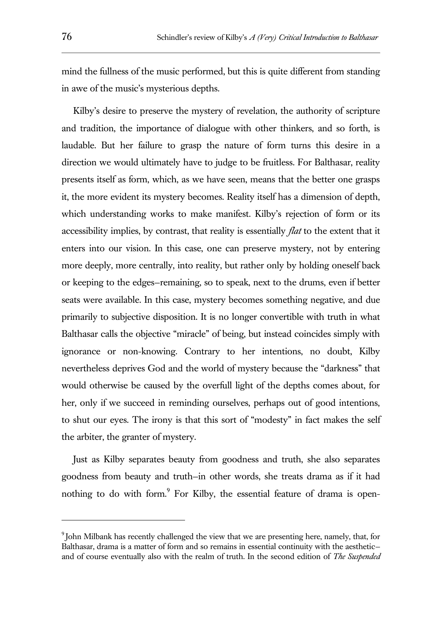mind the fullness of the music performed, but this is quite different from standing in awe of the music's mysterious depths.

Kilby's desire to preserve the mystery of revelation, the authority of scripture and tradition, the importance of dialogue with other thinkers, and so forth, is laudable. But her failure to grasp the nature of form turns this desire in a direction we would ultimately have to judge to be fruitless. For Balthasar, reality presents itself as form, which, as we have seen, means that the better one grasps it, the more evident its mystery becomes. Reality itself has a dimension of depth, which understanding works to make manifest. Kilby's rejection of form or its accessibility implies, by contrast, that reality is essentially *flat* to the extent that it enters into our vision. In this case, one can preserve mystery, not by entering more deeply, more centrally, into reality, but rather only by holding oneself back or keeping to the edges—remaining, so to speak, next to the drums, even if better seats were available. In this case, mystery becomes something negative, and due primarily to subjective disposition. It is no longer convertible with truth in what Balthasar calls the objective "miracle" of being, but instead coincides simply with ignorance or non-knowing. Contrary to her intentions, no doubt, Kilby nevertheless deprives God and the world of mystery because the "darkness" that would otherwise be caused by the overfull light of the depths comes about, for her, only if we succeed in reminding ourselves, perhaps out of good intentions, to shut our eyes. The irony is that this sort of "modesty" in fact makes the self the arbiter, the granter of mystery.

Just as Kilby separates beauty from goodness and truth, she also separates goodness from beauty and truth—in other words, she treats drama as if it had nothing to do with form.<sup>9</sup> For Kilby, the essential feature of drama is open-

 $9$ John Milbank has recently challenged the view that we are presenting here, namely, that, for Balthasar, drama is a matter of form and so remains in essential continuity with the aesthetic and of course eventually also with the realm of truth. In the second edition of *The Suspended*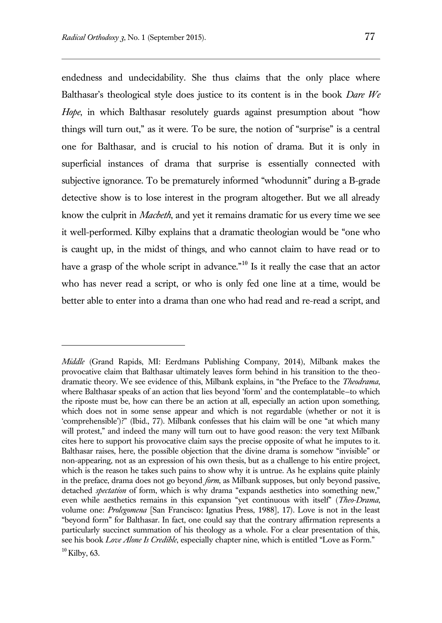endedness and undecidability. She thus claims that the only place where Balthasar's theological style does justice to its content is in the book *Dare We*  Hope, in which Balthasar resolutely guards against presumption about "how things will turn out," as it were. To be sure, the notion of "surprise" is a central one for Balthasar, and is crucial to his notion of drama. But it is only in superficial instances of drama that surprise is essentially connected with subjective ignorance. To be prematurely informed "whodunnit" during a B-grade detective show is to lose interest in the program altogether. But we all already know the culprit in *Macbeth*, and yet it remains dramatic for us every time we see it well-performed. Kilby explains that a dramatic theologian would be "one who is caught up, in the midst of things, and who cannot claim to have read or to have a grasp of the whole script in advance.<sup>"10</sup> Is it really the case that an actor who has never read a script, or who is only fed one line at a time, would be better able to enter into a drama than one who had read and re-read a script, and

*Middle* (Grand Rapids, MI: Eerdmans Publishing Company, 2014), Milbank makes the provocative claim that Balthasar ultimately leaves form behind in his transition to the theodramatic theory. We see evidence of this, Milbank explains, in "the Preface to the *Theodrama*, where Balthasar speaks of an action that lies beyond 'form' and the contemplatable—to which the riposte must be, how can there be an action at all, especially an action upon something, which does not in some sense appear and which is not regardable (whether or not it is 'comprehensible')?" (Ibid., 77). Milbank confesses that his claim will be one "at which many will protest," and indeed the many will turn out to have good reason: the very text Milbank cites here to support his provocative claim says the precise opposite of what he imputes to it. Balthasar raises, here, the possible objection that the divine drama is somehow "invisible" or non-appearing, not as an expression of his own thesis, but as a challenge to his entire project, which is the reason he takes such pains to show why it is untrue. As he explains quite plainly in the preface, drama does not go beyond *form*, as Milbank supposes, but only beyond passive, detached *spectation* of form, which is why drama "expands aesthetics into something new," even while aesthetics remains in this expansion "yet continuous with itself" (*Theo-Drama*, volume one: *Prolegomena* [San Francisco: Ignatius Press, 1988], 17). Love is not in the least "beyond form" for Balthasar. In fact, one could say that the contrary affirmation represents a particularly succinct summation of his theology as a whole. For a clear presentation of this, see his book *Love Alone Is Credible*, especially chapter nine, which is entitled "Love as Form."

 $10$  Kilby, 63.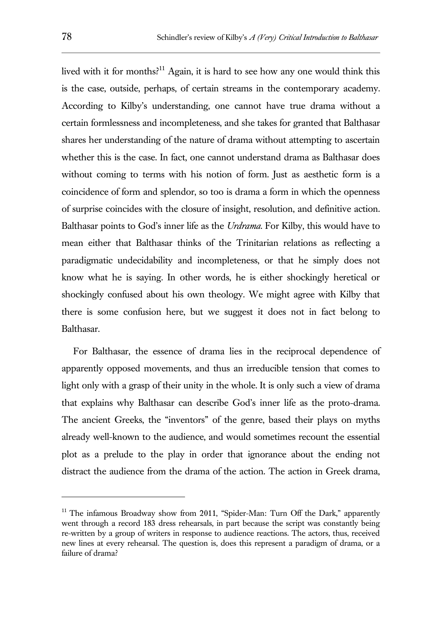lived with it for months?<sup>11</sup> Again, it is hard to see how any one would think this is the case, outside, perhaps, of certain streams in the contemporary academy. According to Kilby's understanding, one cannot have true drama without a certain formlessness and incompleteness, and she takes for granted that Balthasar shares her understanding of the nature of drama without attempting to ascertain whether this is the case. In fact, one cannot understand drama as Balthasar does without coming to terms with his notion of form. Just as aesthetic form is a coincidence of form and splendor, so too is drama a form in which the openness of surprise coincides with the closure of insight, resolution, and definitive action. Balthasar points to God's inner life as the *Urdrama*. For Kilby, this would have to mean either that Balthasar thinks of the Trinitarian relations as reflecting a paradigmatic undecidability and incompleteness, or that he simply does not know what he is saying. In other words, he is either shockingly heretical or shockingly confused about his own theology. We might agree with Kilby that there is some confusion here, but we suggest it does not in fact belong to Balthasar.

For Balthasar, the essence of drama lies in the reciprocal dependence of apparently opposed movements, and thus an irreducible tension that comes to light only with a grasp of their unity in the whole. It is only such a view of drama that explains why Balthasar can describe God's inner life as the proto-drama. The ancient Greeks, the "inventors" of the genre, based their plays on myths already well-known to the audience, and would sometimes recount the essential plot as a prelude to the play in order that ignorance about the ending not distract the audience from the drama of the action. The action in Greek drama,

<sup>&</sup>lt;sup>11</sup> The infamous Broadway show from 2011, "Spider-Man: Turn Off the Dark," apparently went through a record 183 dress rehearsals, in part because the script was constantly being re-written by a group of writers in response to audience reactions. The actors, thus, received new lines at every rehearsal. The question is, does this represent a paradigm of drama, or a failure of drama?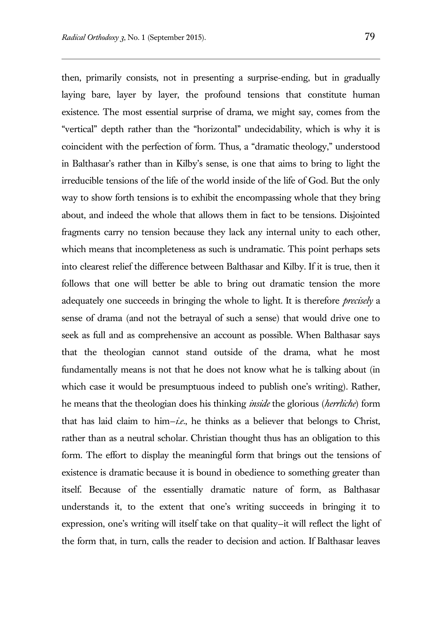then, primarily consists, not in presenting a surprise-ending, but in gradually laying bare, layer by layer, the profound tensions that constitute human existence. The most essential surprise of drama, we might say, comes from the "vertical" depth rather than the "horizontal" undecidability, which is why it is coincident with the perfection of form. Thus, a "dramatic theology," understood in Balthasar's rather than in Kilby's sense, is one that aims to bring to light the irreducible tensions of the life of the world inside of the life of God. But the only way to show forth tensions is to exhibit the encompassing whole that they bring about, and indeed the whole that allows them in fact to be tensions. Disjointed fragments carry no tension because they lack any internal unity to each other, which means that incompleteness as such is undramatic. This point perhaps sets into clearest relief the difference between Balthasar and Kilby. If it is true, then it follows that one will better be able to bring out dramatic tension the more adequately one succeeds in bringing the whole to light. It is therefore *precisely* a sense of drama (and not the betrayal of such a sense) that would drive one to seek as full and as comprehensive an account as possible. When Balthasar says that the theologian cannot stand outside of the drama, what he most fundamentally means is not that he does not know what he is talking about (in which case it would be presumptuous indeed to publish one's writing). Rather, he means that the theologian does his thinking *inside* the glorious (*herrliche*) form that has laid claim to him—*i.e.*, he thinks as a believer that belongs to Christ, rather than as a neutral scholar. Christian thought thus has an obligation to this form. The effort to display the meaningful form that brings out the tensions of existence is dramatic because it is bound in obedience to something greater than itself. Because of the essentially dramatic nature of form, as Balthasar understands it, to the extent that one's writing succeeds in bringing it to expression, one's writing will itself take on that quality—it will reflect the light of the form that, in turn, calls the reader to decision and action. If Balthasar leaves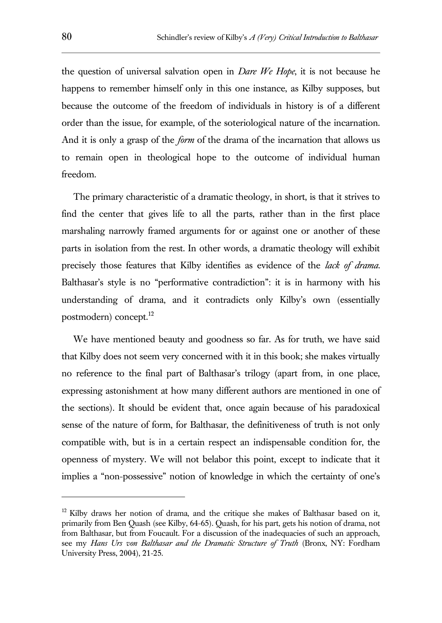the question of universal salvation open in *Dare We Hope*, it is not because he happens to remember himself only in this one instance, as Kilby supposes, but because the outcome of the freedom of individuals in history is of a different order than the issue, for example, of the soteriological nature of the incarnation. And it is only a grasp of the *form* of the drama of the incarnation that allows us to remain open in theological hope to the outcome of individual human freedom.

The primary characteristic of a dramatic theology, in short, is that it strives to find the center that gives life to all the parts, rather than in the first place marshaling narrowly framed arguments for or against one or another of these parts in isolation from the rest. In other words, a dramatic theology will exhibit precisely those features that Kilby identifies as evidence of the *lack of drama*. Balthasar's style is no "performative contradiction": it is in harmony with his understanding of drama, and it contradicts only Kilby's own (essentially postmodern) concept.<sup>12</sup>

We have mentioned beauty and goodness so far. As for truth, we have said that Kilby does not seem very concerned with it in this book; she makes virtually no reference to the final part of Balthasar's trilogy (apart from, in one place, expressing astonishment at how many different authors are mentioned in one of the sections). It should be evident that, once again because of his paradoxical sense of the nature of form, for Balthasar, the definitiveness of truth is not only compatible with, but is in a certain respect an indispensable condition for, the openness of mystery. We will not belabor this point, except to indicate that it implies a "non-possessive" notion of knowledge in which the certainty of one's

 $12$  Kilby draws her notion of drama, and the critique she makes of Balthasar based on it, primarily from Ben Quash (see Kilby, 64-65). Quash, for his part, gets his notion of drama, not from Balthasar, but from Foucault. For a discussion of the inadequacies of such an approach, see my *Hans Urs von Balthasar and the Dramatic Structure of Truth* (Bronx, NY: Fordham University Press, 2004), 21-25.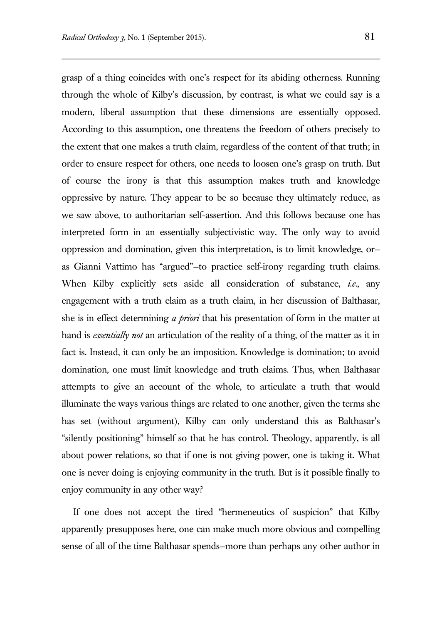grasp of a thing coincides with one's respect for its abiding otherness. Running through the whole of Kilby's discussion, by contrast, is what we could say is a modern, liberal assumption that these dimensions are essentially opposed. According to this assumption, one threatens the freedom of others precisely to the extent that one makes a truth claim, regardless of the content of that truth; in order to ensure respect for others, one needs to loosen one's grasp on truth. But of course the irony is that this assumption makes truth and knowledge oppressive by nature. They appear to be so because they ultimately reduce, as we saw above, to authoritarian self-assertion. And this follows because one has interpreted form in an essentially subjectivistic way. The only way to avoid oppression and domination, given this interpretation, is to limit knowledge, or as Gianni Vattimo has "argued"—to practice self-irony regarding truth claims. When Kilby explicitly sets aside all consideration of substance, *i.e.*, any engagement with a truth claim as a truth claim, in her discussion of Balthasar, she is in effect determining *a priori* that his presentation of form in the matter at hand is *essentially not* an articulation of the reality of a thing, of the matter as it in fact is. Instead, it can only be an imposition. Knowledge is domination; to avoid domination, one must limit knowledge and truth claims. Thus, when Balthasar attempts to give an account of the whole, to articulate a truth that would illuminate the ways various things are related to one another, given the terms she has set (without argument), Kilby can only understand this as Balthasar's "silently positioning" himself so that he has control. Theology, apparently, is all about power relations, so that if one is not giving power, one is taking it. What one is never doing is enjoying community in the truth. But is it possible finally to enjoy community in any other way?

If one does not accept the tired "hermeneutics of suspicion" that Kilby apparently presupposes here, one can make much more obvious and compelling sense of all of the time Balthasar spends—more than perhaps any other author in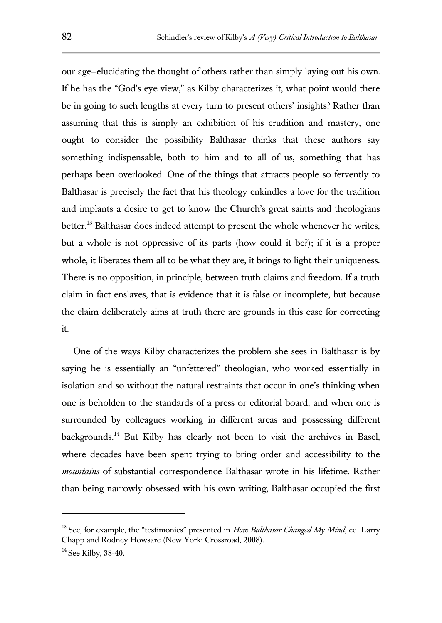our age—elucidating the thought of others rather than simply laying out his own. If he has the "God's eye view," as Kilby characterizes it, what point would there be in going to such lengths at every turn to present others' insights? Rather than assuming that this is simply an exhibition of his erudition and mastery, one ought to consider the possibility Balthasar thinks that these authors say something indispensable, both to him and to all of us, something that has perhaps been overlooked. One of the things that attracts people so fervently to Balthasar is precisely the fact that his theology enkindles a love for the tradition and implants a desire to get to know the Church's great saints and theologians better.<sup>13</sup> Balthasar does indeed attempt to present the whole whenever he writes, but a whole is not oppressive of its parts (how could it be?); if it is a proper whole, it liberates them all to be what they are, it brings to light their uniqueness. There is no opposition, in principle, between truth claims and freedom. If a truth claim in fact enslaves, that is evidence that it is false or incomplete, but because the claim deliberately aims at truth there are grounds in this case for correcting it.

One of the ways Kilby characterizes the problem she sees in Balthasar is by saying he is essentially an "unfettered" theologian, who worked essentially in isolation and so without the natural restraints that occur in one's thinking when one is beholden to the standards of a press or editorial board, and when one is surrounded by colleagues working in different areas and possessing different backgrounds.<sup>14</sup> But Kilby has clearly not been to visit the archives in Basel, where decades have been spent trying to bring order and accessibility to the *mountains* of substantial correspondence Balthasar wrote in his lifetime. Rather than being narrowly obsessed with his own writing, Balthasar occupied the first

<sup>&</sup>lt;sup>13</sup> See, for example, the "testimonies" presented in *How Balthasar Changed My Mind*, ed. Larry Chapp and Rodney Howsare (New York: Crossroad, 2008).

 $14$  See Kilby, 38-40.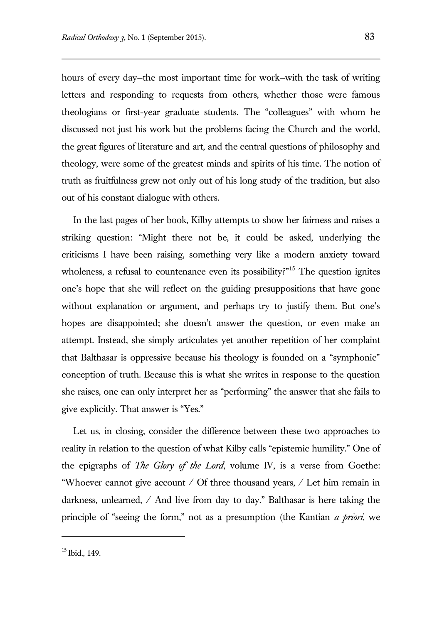hours of every day—the most important time for work—with the task of writing letters and responding to requests from others, whether those were famous theologians or first-year graduate students. The "colleagues" with whom he discussed not just his work but the problems facing the Church and the world, the great figures of literature and art, and the central questions of philosophy and theology, were some of the greatest minds and spirits of his time. The notion of truth as fruitfulness grew not only out of his long study of the tradition, but also out of his constant dialogue with others.

In the last pages of her book, Kilby attempts to show her fairness and raises a striking question: "Might there not be, it could be asked, underlying the criticisms I have been raising, something very like a modern anxiety toward wholeness, a refusal to countenance even its possibility?"<sup>15</sup> The question ignites one's hope that she will reflect on the guiding presuppositions that have gone without explanation or argument, and perhaps try to justify them. But one's hopes are disappointed; she doesn't answer the question, or even make an attempt. Instead, she simply articulates yet another repetition of her complaint that Balthasar is oppressive because his theology is founded on a "symphonic" conception of truth. Because this is what she writes in response to the question she raises, one can only interpret her as "performing" the answer that she fails to give explicitly. That answer is "Yes."

Let us, in closing, consider the difference between these two approaches to reality in relation to the question of what Kilby calls "epistemic humility." One of the epigraphs of *The Glory of the Lord*, volume IV, is a verse from Goethe: "Whoever cannot give account / Of three thousand years, / Let him remain in darkness, unlearned, / And live from day to day." Balthasar is here taking the principle of "seeing the form," not as a presumption (the Kantian *a priori*, we

 $15$  Ibid., 149.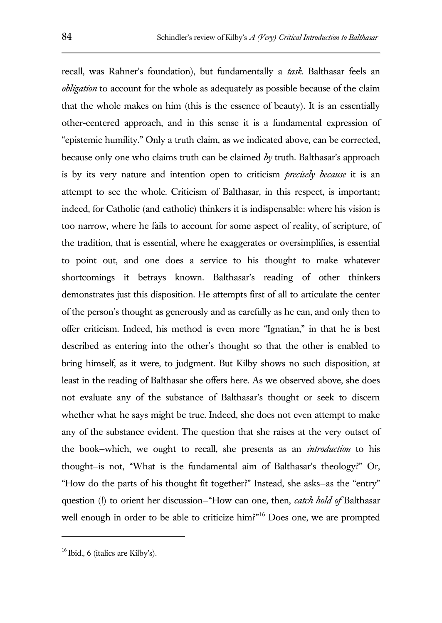recall, was Rahner's foundation), but fundamentally a *task*. Balthasar feels an *obligation* to account for the whole as adequately as possible because of the claim that the whole makes on him (this is the essence of beauty). It is an essentially other-centered approach, and in this sense it is a fundamental expression of "epistemic humility." Only a truth claim, as we indicated above, can be corrected, because only one who claims truth can be claimed *by* truth. Balthasar's approach is by its very nature and intention open to criticism *precisely because* it is an attempt to see the whole. Criticism of Balthasar, in this respect, is important; indeed, for Catholic (and catholic) thinkers it is indispensable: where his vision is too narrow, where he fails to account for some aspect of reality, of scripture, of the tradition, that is essential, where he exaggerates or oversimplifies, is essential to point out, and one does a service to his thought to make whatever shortcomings it betrays known. Balthasar's reading of other thinkers demonstrates just this disposition. He attempts first of all to articulate the center of the person's thought as generously and as carefully as he can, and only then to offer criticism. Indeed, his method is even more "Ignatian," in that he is best described as entering into the other's thought so that the other is enabled to bring himself, as it were, to judgment. But Kilby shows no such disposition, at least in the reading of Balthasar she offers here. As we observed above, she does not evaluate any of the substance of Balthasar's thought or seek to discern whether what he says might be true. Indeed, she does not even attempt to make any of the substance evident. The question that she raises at the very outset of the book—which, we ought to recall, she presents as an *introduction* to his thought—is not, "What is the fundamental aim of Balthasar's theology?" Or, "How do the parts of his thought fit together?" Instead, she asks—as the "entry" question (!) to orient her discussion—"How can one, then, *catch hold of* Balthasar well enough in order to be able to criticize him?"<sup>16</sup> Does one, we are prompted

 $16$  Ibid., 6 (italics are Kilby's).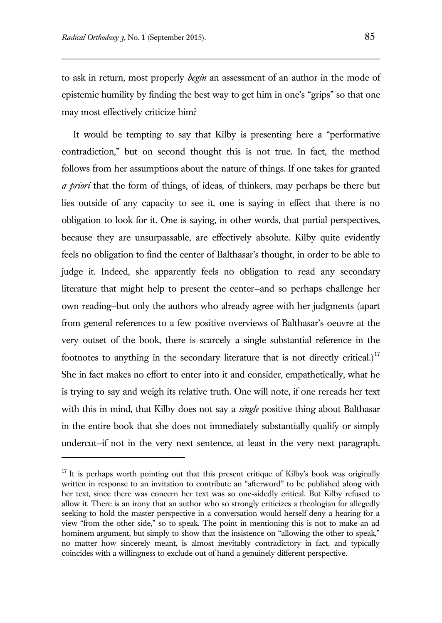$\overline{a}$ 

to ask in return, most properly *begin* an assessment of an author in the mode of epistemic humility by finding the best way to get him in one's "grips" so that one may most effectively criticize him?

It would be tempting to say that Kilby is presenting here a "performative contradiction," but on second thought this is not true. In fact, the method follows from her assumptions about the nature of things. If one takes for granted *a priori* that the form of things, of ideas, of thinkers, may perhaps be there but lies outside of any capacity to see it, one is saying in effect that there is no obligation to look for it. One is saying, in other words, that partial perspectives, because they are unsurpassable, are effectively absolute. Kilby quite evidently feels no obligation to find the center of Balthasar's thought, in order to be able to judge it. Indeed, she apparently feels no obligation to read any secondary literature that might help to present the center—and so perhaps challenge her own reading—but only the authors who already agree with her judgments (apart from general references to a few positive overviews of Balthasar's oeuvre at the very outset of the book, there is scarcely a single substantial reference in the footnotes to anything in the secondary literature that is not directly critical.)<sup>17</sup> She in fact makes no effort to enter into it and consider, empathetically, what he is trying to say and weigh its relative truth. One will note, if one rereads her text with this in mind, that Kilby does not say a *single* positive thing about Balthasar in the entire book that she does not immediately substantially qualify or simply undercut—if not in the very next sentence, at least in the very next paragraph.

 $17$  It is perhaps worth pointing out that this present critique of Kilby's book was originally written in response to an invitation to contribute an "afterword" to be published along with her text, since there was concern her text was so one-sidedly critical. But Kilby refused to allow it. There is an irony that an author who so strongly criticizes a theologian for allegedly seeking to hold the master perspective in a conversation would herself deny a hearing for a view "from the other side," so to speak. The point in mentioning this is not to make an ad hominem argument, but simply to show that the insistence on "allowing the other to speak," no matter how sincerely meant, is almost inevitably contradictory in fact, and typically coincides with a willingness to exclude out of hand a genuinely different perspective.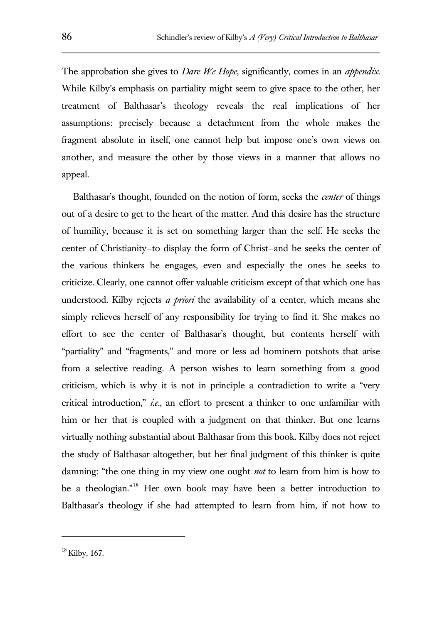The approbation she gives to *Dare We Hope*, significantly, comes in an *appendix*. While Kilby's emphasis on partiality might seem to give space to the other, her treatment of Balthasar's theology reveals the real implications of her assumptions: precisely because a detachment from the whole makes the fragment absolute in itself, one cannot help but impose one's own views on another, and measure the other by those views in a manner that allows no appeal.

Balthasar's thought, founded on the notion of form, seeks the *center* of things out of a desire to get to the heart of the matter. And this desire has the structure of humility, because it is set on something larger than the self. He seeks the center of Christianity—to display the form of Christ—and he seeks the center of the various thinkers he engages, even and especially the ones he seeks to criticize. Clearly, one cannot offer valuable criticism except of that which one has understood. Kilby rejects *a priori* the availability of a center, which means she simply relieves herself of any responsibility for trying to find it. She makes no effort to see the center of Balthasar's thought, but contents herself with "partiality" and "fragments," and more or less ad hominem potshots that arise from a selective reading. A person wishes to learn something from a good criticism, which is why it is not in principle a contradiction to write a "very critical introduction," *i.e.*, an effort to present a thinker to one unfamiliar with him or her that is coupled with a judgment on that thinker. But one learns virtually nothing substantial about Balthasar from this book. Kilby does not reject the study of Balthasar altogether, but her final judgment of this thinker is quite damning: "the one thing in my view one ought *not* to learn from him is how to be a theologian."<sup>18</sup> Her own book may have been a better introduction to Balthasar's theology if she had attempted to learn from him, if not how to

 $18$  Kilby, 167.